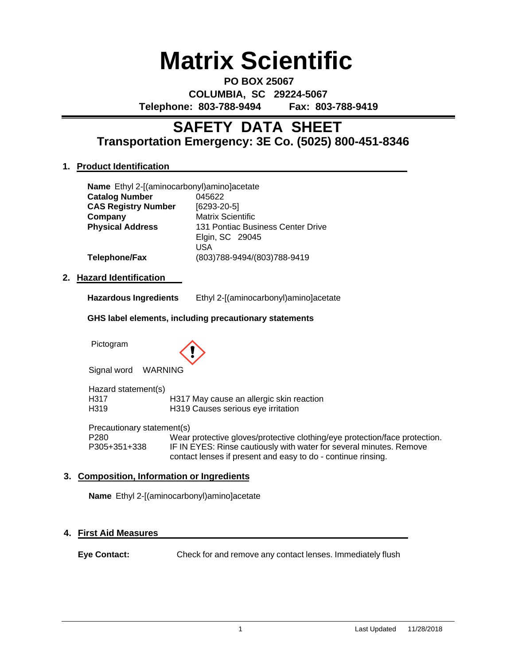# **Matrix Scientific**

**PO BOX 25067 COLUMBIA, SC 29224-5067 Telephone: 803-788-9494 Fax: 803-788-9419**

# **Transportation Emergency: 3E Co. (5025) 800-451-8346 SAFETY DATA SHEET**

# **1. Product Identification**

| Name Ethyl 2-[(aminocarbonyl)amino]acetate |
|--------------------------------------------|
| 045622                                     |
| $[6293-20-5]$                              |
| <b>Matrix Scientific</b>                   |
| 131 Pontiac Business Center Drive          |
| Elgin, SC 29045                            |
| USA                                        |
| (803)788-9494/(803)788-9419                |
|                                            |

### **2. Hazard Identification**

| <b>Hazardous Ingredients</b> | Ethyl 2-[(aminocarbonyl)amino]acetate |
|------------------------------|---------------------------------------|
|                              |                                       |

#### **GHS label elements, including precautionary statements**

Pictogram



Signal word WARNING

Hazard statement(s) H317 H317 May cause an allergic skin reaction<br>H319 H319 Causes serious eve irritation H319 H319 Causes serious eye irritation

Precautionary statement(s)

P280 Wear protective gloves/protective clothing/eye protection/face protection.<br>P305+351+338 IF IN EYES: Rinse cautiously with water for several minutes. Remove IF IN EYES: Rinse cautiously with water for several minutes. Remove contact lenses if present and easy to do - continue rinsing.

## **3. Composition, Information or Ingredients**

**Name** Ethyl 2-[(aminocarbonyl)amino]acetate

### **4. First Aid Measures**

**Eye Contact:** Check for and remove any contact lenses. Immediately flush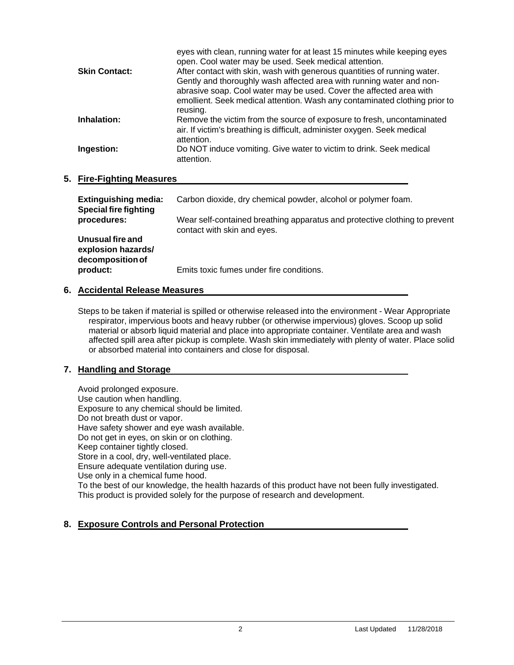| eyes with clean, running water for at least 15 minutes while keeping eyes<br>open. Cool water may be used. Seek medical attention.                |
|---------------------------------------------------------------------------------------------------------------------------------------------------|
| After contact with skin, wash with generous quantities of running water.                                                                          |
| Gently and thoroughly wash affected area with running water and non-                                                                              |
| abrasive soap. Cool water may be used. Cover the affected area with<br>emollient. Seek medical attention. Wash any contaminated clothing prior to |
| reusing.                                                                                                                                          |
| Remove the victim from the source of exposure to fresh, uncontaminated                                                                            |
| air. If victim's breathing is difficult, administer oxygen. Seek medical<br>attention.                                                            |
| Do NOT induce vomiting. Give water to victim to drink. Seek medical<br>attention.                                                                 |
|                                                                                                                                                   |

#### **5. Fire-Fighting Measures**

| <b>Extinguishing media:</b><br><b>Special fire fighting</b> | Carbon dioxide, dry chemical powder, alcohol or polymer foam.                                             |
|-------------------------------------------------------------|-----------------------------------------------------------------------------------------------------------|
| procedures:                                                 | Wear self-contained breathing apparatus and protective clothing to prevent<br>contact with skin and eyes. |
| Unusual fire and<br>explosion hazards/<br>decomposition of  |                                                                                                           |
| product:                                                    | Emits toxic fumes under fire conditions.                                                                  |

#### **6. Accidental Release Measures**

Steps to be taken if material is spilled or otherwise released into the environment - Wear Appropriate respirator, impervious boots and heavy rubber (or otherwise impervious) gloves. Scoop up solid material or absorb liquid material and place into appropriate container. Ventilate area and wash affected spill area after pickup is complete. Wash skin immediately with plenty of water. Place solid or absorbed material into containers and close for disposal.

### **7. Handling and Storage**

Avoid prolonged exposure. Use caution when handling. Exposure to any chemical should be limited. Do not breath dust or vapor. Have safety shower and eye wash available. Do not get in eyes, on skin or on clothing. Keep container tightly closed. Store in a cool, dry, well-ventilated place. Ensure adequate ventilation during use. Use only in a chemical fume hood. To the best of our knowledge, the health hazards of this product have not been fully investigated. This product is provided solely for the purpose of research and development.

### **8. Exposure Controls and Personal Protection**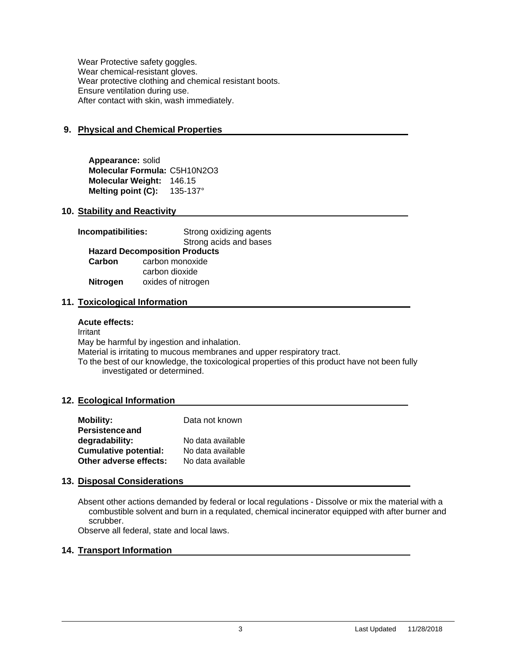Wear Protective safety goggles. Wear chemical-resistant gloves. Wear protective clothing and chemical resistant boots. Ensure ventilation during use. After contact with skin, wash immediately.

# **9. Physical and Chemical Properties**

**Appearance:** solid **Molecular Formula:** C5H10N2O3 **Molecular Weight:** 146.15 **Melting point (C):** 135-137°

#### **10. Stability and Reactivity**

| Incompatibilities: | Strong oxidizing agents              |  |  |
|--------------------|--------------------------------------|--|--|
|                    | Strong acids and bases               |  |  |
|                    | <b>Hazard Decomposition Products</b> |  |  |
| Carbon             | carbon monoxide                      |  |  |
|                    | carbon dioxide                       |  |  |
| <b>Nitrogen</b>    | oxides of nitrogen                   |  |  |

#### **11. Toxicological Information**

#### **Acute effects:**

Irritant May be harmful by ingestion and inhalation. Material is irritating to mucous membranes and upper respiratory tract. To the best of our knowledge, the toxicological properties of this product have not been fully investigated or determined.

#### **12. Ecological Information**

| <b>Mobility:</b>             | Data not known    |
|------------------------------|-------------------|
| <b>Persistence and</b>       |                   |
| degradability:               | No data available |
| <b>Cumulative potential:</b> | No data available |
| Other adverse effects:       | No data available |

#### **13. Disposal Considerations**

Absent other actions demanded by federal or local regulations - Dissolve or mix the material with a combustible solvent and burn in a requlated, chemical incinerator equipped with after burner and scrubber.

Observe all federal, state and local laws.

#### **14. Transport Information**